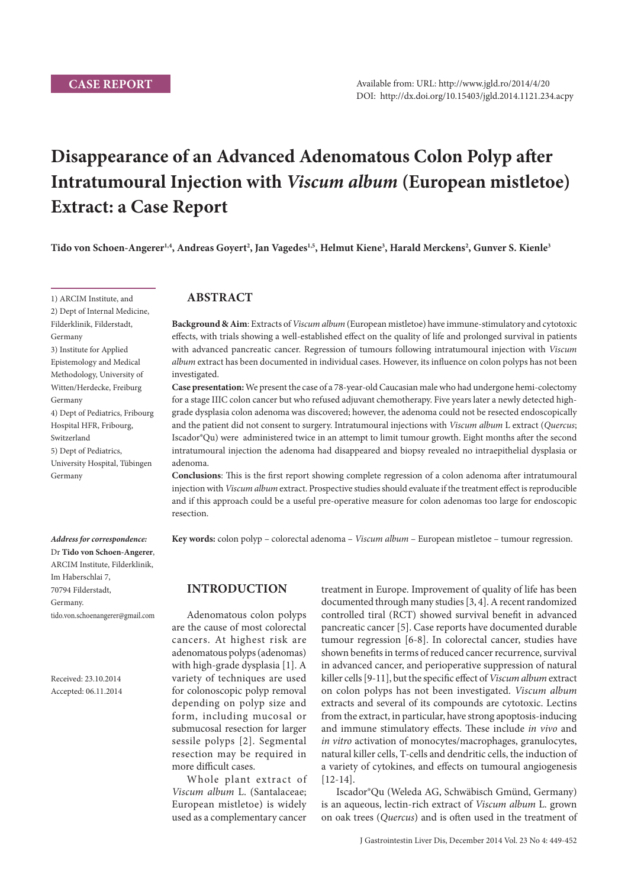# **Disappearance of an Advanced Adenomatous Colon Polyp after Intratumoural Injection with** *Viscum album* **(European mistletoe) Extract: a Case Report**

**Tido von Schoen-Angerer1,4, Andreas Goyert2 , Jan Vagedes1,5, Helmut Kiene3 , Harald Merckens2 , Gunver S. Kienle3**

### **ABSTRACT**

**Background & Aim**: Extracts of *Viscum album* (European mistletoe) have immune-stimulatory and cytotoxic effects, with trials showing a well-established effect on the quality of life and prolonged survival in patients with advanced pancreatic cancer. Regression of tumours following intratumoural injection with *Viscum*  album extract has been documented in individual cases. However, its influence on colon polyps has not been investigated.

**Case presentation:** We present the case of a 78-year-old Caucasian male who had undergone hemi-colectomy for a stage IIIC colon cancer but who refused adjuvant chemotherapy. Five years later a newly detected highgrade dysplasia colon adenoma was discovered; however, the adenoma could not be resected endoscopically and the patient did not consent to surgery. Intratumoural injections with *Viscum album* L extract (*Quercus*; Iscador®Qu) were administered twice in an attempt to limit tumour growth. Eight months after the second intratumoural injection the adenoma had disappeared and biopsy revealed no intraepithelial dysplasia or adenoma.

**Conclusions**: This is the first report showing complete regression of a colon adenoma after intratumoural injection with *Viscum album* extract. Prospective studies should evaluate if the treatment effect is reproducible and if this approach could be a useful pre-operative measure for colon adenomas too large for endoscopic resection.

**Key words:** colon polyp – colorectal adenoma – *Viscum album* – European mistletoe – tumour regression.

### **INTRODUCTION**

Adenomatous colon polyps are the cause of most colorectal cancers. At highest risk are adenomatous polyps (adenomas) with high-grade dysplasia [1]. A variety of techniques are used for colonoscopic polyp removal depending on polyp size and form, including mucosal or submucosal resection for larger sessile polyps [2]. Segmental resection may be required in more difficult cases.

Whole plant extract of *Viscum album* L. (Santalaceae; European mistletoe) is widely used as a complementary cancer

treatment in Europe. Improvement of quality of life has been documented through many studies [3, 4]. A recent randomized controlled tiral (RCT) showed survival benefit in advanced pancreatic cancer [5]. Case reports have documented durable tumour regression [6-8]. In colorectal cancer, studies have shown benefits in terms of reduced cancer recurrence, survival in advanced cancer, and perioperative suppression of natural killer cells [9-11], but the specific effect of *Viscum album* extract on colon polyps has not been investigated. *Viscum album* extracts and several of its compounds are cytotoxic. Lectins from the extract, in particular, have strong apoptosis-inducing and immune stimulatory effects. These include *in vivo* and *in vitro* activation of monocytes/macrophages, granulocytes, natural killer cells, T-cells and dendritic cells, the induction of a variety of cytokines, and effects on tumoural angiogenesis [12-14].

Iscador®Qu (Weleda AG, Schwäbisch Gmünd, Germany) is an aqueous, lectin-rich extract of *Viscum album* L. grown on oak trees (*Quercus*) and is often used in the treatment of

1) ARCIM Institute, and 2) Dept of Internal Medicine, Filderklinik, Filderstadt, Germany 3) Institute for Applied Epistemology and Medical Methodology, University of Witten/Herdecke, Freiburg Germany 4) Dept of Pediatrics, Fribourg Hospital HFR, Fribourg, Switzerland 5) Dept of Pediatrics, University Hospital, Tübingen Germany

*Address for correspondence:*  Dr **Tido von Schoen-Angerer**, ARCIM Institute, Filderklinik,

tido.von.schoenangerer@gmail.com

Im Haberschlai 7, 70794 Filderstadt, Germany.

Received: 23.10.2014 Accepted: 06.11.2014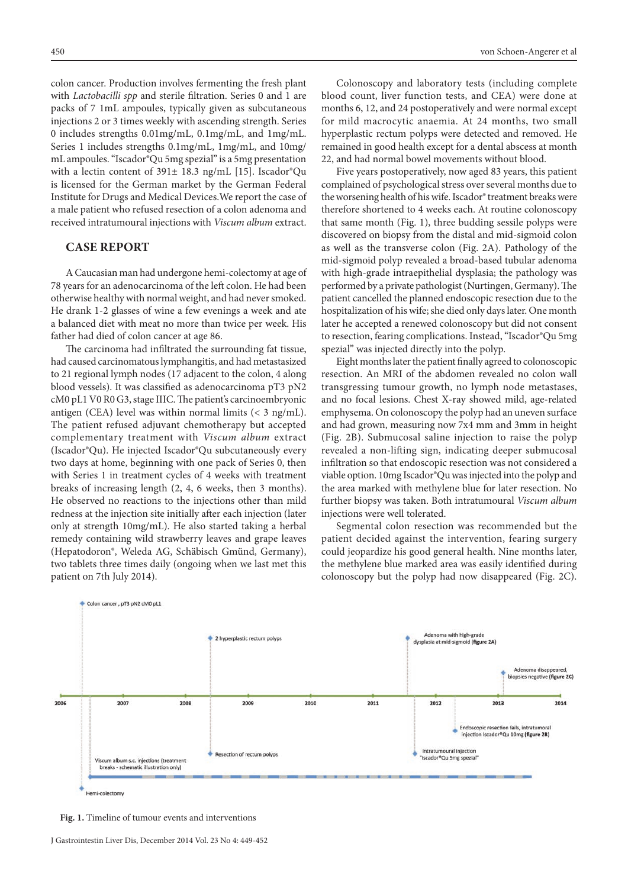colon cancer. Production involves fermenting the fresh plant with *Lactobacilli spp* and sterile filtration. Series 0 and 1 are packs of 7 1mL ampoules, typically given as subcutaneous injections 2 or 3 times weekly with ascending strength. Series 0 includes strengths 0.01mg/mL, 0.1mg/mL, and 1mg/mL. Series 1 includes strengths 0.1mg/mL, 1mg/mL, and 10mg/ mL ampoules. "Iscador®Qu 5mg spezial" is a 5mg presentation with a lectin content of 391± 18.3 ng/mL [15]. Iscador®Qu is licensed for the German market by the German Federal Institute for Drugs and Medical Devices.We report the case of a male patient who refused resection of a colon adenoma and received intratumoural injections with *Viscum album* extract.

### **CASE REPORT**

A Caucasian man had undergone hemi-colectomy at age of 78 years for an adenocarcinoma of the left colon. He had been otherwise healthy with normal weight, and had never smoked. He drank 1-2 glasses of wine a few evenings a week and ate a balanced diet with meat no more than twice per week. His father had died of colon cancer at age 86.

The carcinoma had infiltrated the surrounding fat tissue, had caused carcinomatous lymphangitis, and had metastasized to 21 regional lymph nodes (17 adjacent to the colon, 4 along blood vessels). It was classified as adenocarcinoma pT3 pN2 cM0 pL1 V0 R0 G3, stage IIIC. The patient's carcinoembryonic antigen (CEA) level was within normal limits  $\langle$  3 ng/mL). The patient refused adjuvant chemotherapy but accepted complementary treatment with *Viscum album* extract (Iscador®Qu). He injected Iscador®Qu subcutaneously every two days at home, beginning with one pack of Series 0, then with Series 1 in treatment cycles of 4 weeks with treatment breaks of increasing length (2, 4, 6 weeks, then 3 months). He observed no reactions to the injections other than mild redness at the injection site initially after each injection (later only at strength 10mg/mL). He also started taking a herbal remedy containing wild strawberry leaves and grape leaves (Hepatodoron®, Weleda AG, Schäbisch Gmünd, Germany), two tablets three times daily (ongoing when we last met this patient on 7th July 2014).

Colonoscopy and laboratory tests (including complete blood count, liver function tests, and CEA) were done at months 6, 12, and 24 postoperatively and were normal except for mild macrocytic anaemia. At 24 months, two small hyperplastic rectum polyps were detected and removed. He remained in good health except for a dental abscess at month 22, and had normal bowel movements without blood.

Five years postoperatively, now aged 83 years, this patient complained of psychological stress over several months due to the worsening health of his wife. Iscador® treatment breaks were therefore shortened to 4 weeks each. At routine colonoscopy that same month (Fig. 1), three budding sessile polyps were discovered on biopsy from the distal and mid-sigmoid colon as well as the transverse colon (Fig. 2A). Pathology of the mid-sigmoid polyp revealed a broad-based tubular adenoma with high-grade intraepithelial dysplasia; the pathology was performed by a private pathologist (Nurtingen, Germany). The patient cancelled the planned endoscopic resection due to the hospitalization of his wife; she died only days later. One month later he accepted a renewed colonoscopy but did not consent to resection, fearing complications. Instead, "Iscador®Qu 5mg spezial" was injected directly into the polyp.

Eight months later the patient finally agreed to colonoscopic resection. An MRI of the abdomen revealed no colon wall transgressing tumour growth, no lymph node metastases, and no focal lesions. Chest X-ray showed mild, age-related emphysema. On colonoscopy the polyp had an uneven surface and had grown, measuring now 7x4 mm and 3mm in height (Fig. 2B). Submucosal saline injection to raise the polyp revealed a non-lifting sign, indicating deeper submucosal infiltration so that endoscopic resection was not considered a viable option. 10mg Iscador®Qu was injected into the polyp and the area marked with methylene blue for later resection. No further biopsy was taken. Both intratumoural *Viscum album* injections were well tolerated.

Segmental colon resection was recommended but the patient decided against the intervention, fearing surgery could jeopardize his good general health. Nine months later, the methylene blue marked area was easily identified during colonoscopy but the polyp had now disappeared (Fig. 2C).



**Fig. 1.** Timeline of tumour events and interventions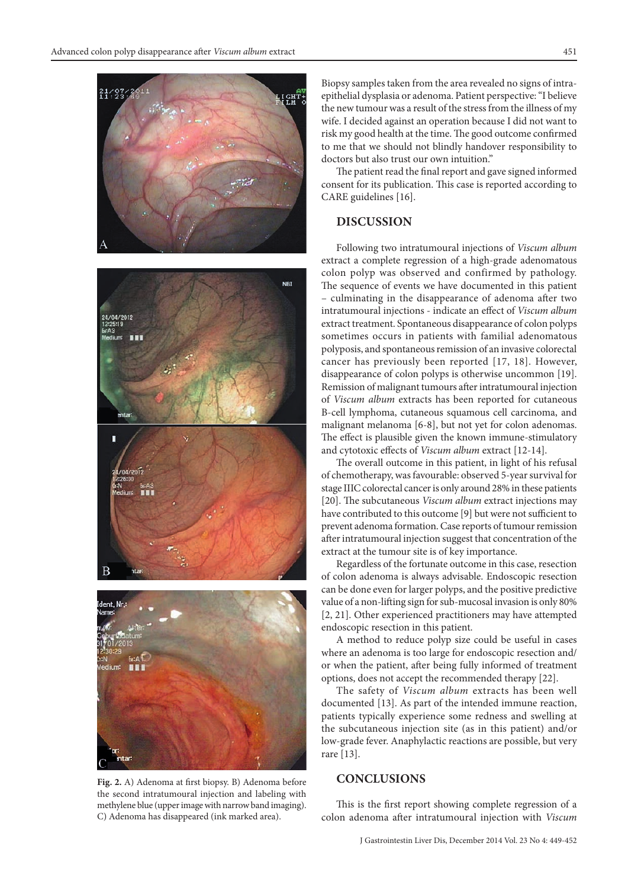

Fig. 2. A) Adenoma at first biopsy. B) Adenoma before the second intratumoural injection and labeling with methylene blue (upper image with narrow band imaging). C) Adenoma has disappeared (ink marked area).

Biopsy samples taken from the area revealed no signs of intraepithelial dysplasia or adenoma. Patient perspective: "I believe the new tumour was a result of the stress from the illness of my wife. I decided against an operation because I did not want to risk my good health at the time. The good outcome confirmed to me that we should not blindly handover responsibility to doctors but also trust our own intuition."

The patient read the final report and gave signed informed consent for its publication. This case is reported according to CARE guidelines [16].

#### **DISCUSSION**

Following two intratumoural injections of *Viscum album* extract a complete regression of a high-grade adenomatous colon polyp was observed and confirmed by pathology. The sequence of events we have documented in this patient – culminating in the disappearance of adenoma after two intratumoural injections - indicate an effect of *Viscum album* extract treatment. Spontaneous disappearance of colon polyps sometimes occurs in patients with familial adenomatous polyposis, and spontaneous remission of an invasive colorectal cancer has previously been reported [17, 18]. However, disappearance of colon polyps is otherwise uncommon [19]. Remission of malignant tumours after intratumoural injection of *Viscum album* extracts has been reported for cutaneous B-cell lymphoma, cutaneous squamous cell carcinoma, and malignant melanoma [6-8], but not yet for colon adenomas. The effect is plausible given the known immune-stimulatory and cytotoxic effects of *Viscum album* extract [12-14].

The overall outcome in this patient, in light of his refusal of chemotherapy, was favourable: observed 5-year survival for stage IIIC colorectal cancer is only around 28% in these patients [20]. The subcutaneous *Viscum album* extract injections may have contributed to this outcome [9] but were not sufficient to prevent adenoma formation. Case reports of tumour remission after intratumoural injection suggest that concentration of the extract at the tumour site is of key importance.

Regardless of the fortunate outcome in this case, resection of colon adenoma is always advisable. Endoscopic resection can be done even for larger polyps, and the positive predictive value of a non-lifting sign for sub-mucosal invasion is only 80% [2, 21]. Other experienced practitioners may have attempted endoscopic resection in this patient.

A method to reduce polyp size could be useful in cases where an adenoma is too large for endoscopic resection and/ or when the patient, after being fully informed of treatment options, does not accept the recommended therapy [22].

The safety of *Viscum album* extracts has been well documented [13]. As part of the intended immune reaction, patients typically experience some redness and swelling at the subcutaneous injection site (as in this patient) and/or low-grade fever. Anaphylactic reactions are possible, but very rare [13].

## **CONCLUSIONS**

This is the first report showing complete regression of a colon adenoma after intratumoural injection with *Viscum*